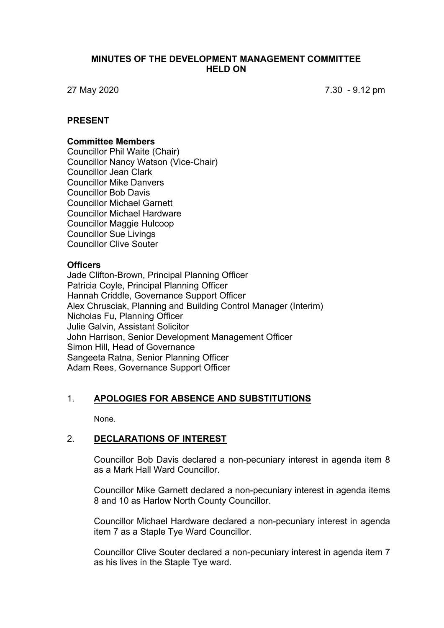### **MINUTES OF THE DEVELOPMENT MANAGEMENT COMMITTEE HELD ON**

27 May 2020 7.30 - 9.12 pm

### **PRESENT**

#### **Committee Members**

Councillor Phil Waite (Chair) Councillor Nancy Watson (Vice-Chair) Councillor Jean Clark Councillor Mike Danvers Councillor Bob Davis Councillor Michael Garnett Councillor Michael Hardware Councillor Maggie Hulcoop Councillor Sue Livings Councillor Clive Souter

#### **Officers**

Jade Clifton-Brown, Principal Planning Officer Patricia Coyle, Principal Planning Officer Hannah Criddle, Governance Support Officer Alex Chrusciak, Planning and Building Control Manager (Interim) Nicholas Fu, Planning Officer Julie Galvin, Assistant Solicitor John Harrison, Senior Development Management Officer Simon Hill, Head of Governance Sangeeta Ratna, Senior Planning Officer Adam Rees, Governance Support Officer

# 1. **APOLOGIES FOR ABSENCE AND SUBSTITUTIONS**

None.

### 2. **DECLARATIONS OF INTEREST**

Councillor Bob Davis declared a non-pecuniary interest in agenda item 8 as a Mark Hall Ward Councillor.

Councillor Mike Garnett declared a non-pecuniary interest in agenda items 8 and 10 as Harlow North County Councillor.

Councillor Michael Hardware declared a non-pecuniary interest in agenda item 7 as a Staple Tye Ward Councillor.

Councillor Clive Souter declared a non-pecuniary interest in agenda item 7 as his lives in the Staple Tye ward.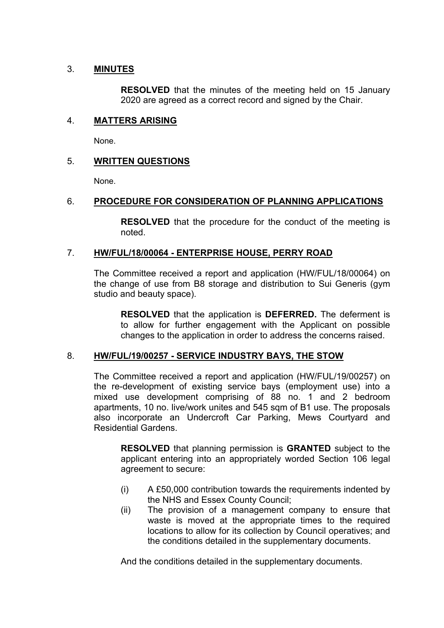# 3. **MINUTES**

**RESOLVED** that the minutes of the meeting held on 15 January 2020 are agreed as a correct record and signed by the Chair.

### 4. **MATTERS ARISING**

None.

# 5. **WRITTEN QUESTIONS**

None.

### 6. **PROCEDURE FOR CONSIDERATION OF PLANNING APPLICATIONS**

**RESOLVED** that the procedure for the conduct of the meeting is noted.

### 7. **HW/FUL/18/00064 - ENTERPRISE HOUSE, PERRY ROAD**

The Committee received a report and application (HW/FUL/18/00064) on the change of use from B8 storage and distribution to Sui Generis (gym studio and beauty space).

**RESOLVED** that the application is **DEFERRED.** The deferment is to allow for further engagement with the Applicant on possible changes to the application in order to address the concerns raised.

#### 8. **HW/FUL/19/00257 - SERVICE INDUSTRY BAYS, THE STOW**

The Committee received a report and application (HW/FUL/19/00257) on the re-development of existing service bays (employment use) into a mixed use development comprising of 88 no. 1 and 2 bedroom apartments, 10 no. live/work unites and 545 sqm of B1 use. The proposals also incorporate an Undercroft Car Parking, Mews Courtyard and Residential Gardens.

**RESOLVED** that planning permission is **GRANTED** subject to the applicant entering into an appropriately worded Section 106 legal agreement to secure:

- (i) A £50,000 contribution towards the requirements indented by the NHS and Essex County Council;
- (ii) The provision of a management company to ensure that waste is moved at the appropriate times to the required locations to allow for its collection by Council operatives; and the conditions detailed in the supplementary documents.

And the conditions detailed in the supplementary documents.